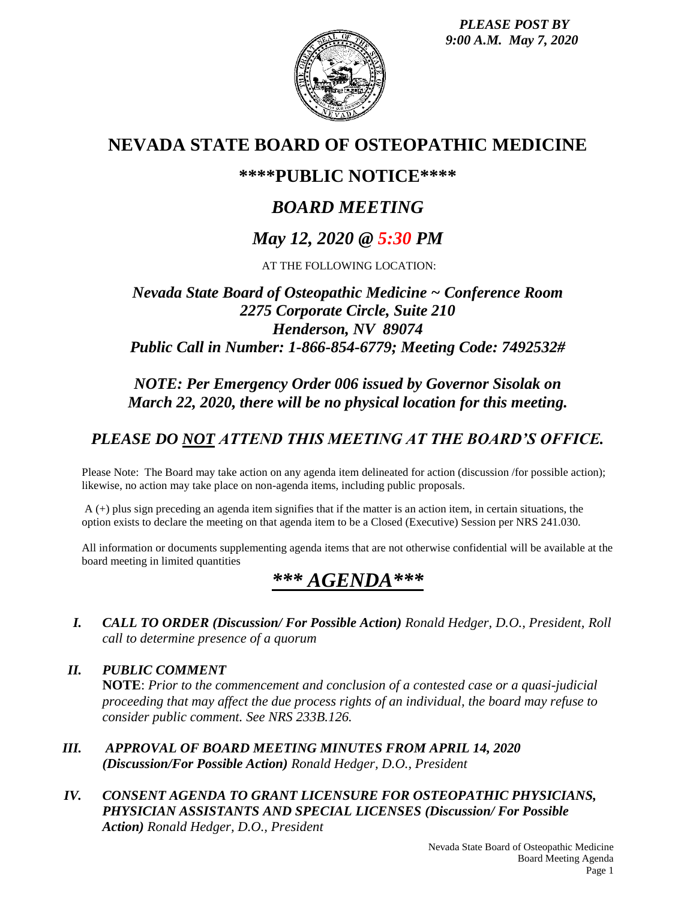*PLEASE POST BY 9:00 A.M. May 7, 2020*



## **NEVADA STATE BOARD OF OSTEOPATHIC MEDICINE**

## **\*\*\*\*PUBLIC NOTICE\*\*\*\***

# *BOARD MEETING*

# *May 12, 2020 @ 5:30 PM*

AT THE FOLLOWING LOCATION:

## *Nevada State Board of Osteopathic Medicine ~ Conference Room 2275 Corporate Circle, Suite 210 Henderson, NV 89074 Public Call in Number: 1-866-854-6779; Meeting Code: 7492532#*

## *NOTE: Per Emergency Order 006 issued by Governor Sisolak on March 22, 2020, there will be no physical location for this meeting.*

## *PLEASE DO NOT ATTEND THIS MEETING AT THE BOARD'S OFFICE.*

Please Note: The Board may take action on any agenda item delineated for action (discussion /for possible action); likewise, no action may take place on non-agenda items, including public proposals.

A (+) plus sign preceding an agenda item signifies that if the matter is an action item, in certain situations, the option exists to declare the meeting on that agenda item to be a Closed (Executive) Session per NRS 241.030.

All information or documents supplementing agenda items that are not otherwise confidential will be available at the board meeting in limited quantities

# *\*\*\* AGENDA\*\*\**

*I. CALL TO ORDER (Discussion/ For Possible Action) Ronald Hedger, D.O., President, Roll call to determine presence of a quorum*

*II. PUBLIC COMMENT* **NOTE**: *Prior to the commencement and conclusion of a contested case or a quasi-judicial proceeding that may affect the due process rights of an individual, the board may refuse to consider public comment. See NRS 233B.126.*

- *III. APPROVAL OF BOARD MEETING MINUTES FROM APRIL 14, 2020 (Discussion/For Possible Action) Ronald Hedger, D.O., President*
- *IV. CONSENT AGENDA TO GRANT LICENSURE FOR OSTEOPATHIC PHYSICIANS, PHYSICIAN ASSISTANTS AND SPECIAL LICENSES (Discussion/ For Possible Action) Ronald Hedger, D.O., President*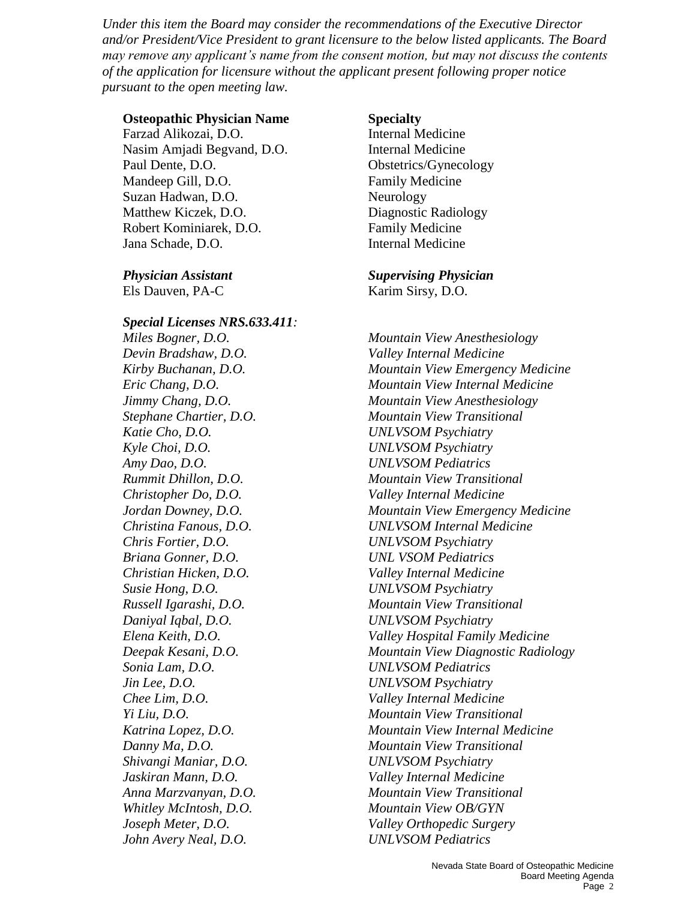*Under this item the Board may consider the recommendations of the Executive Director and/or President/Vice President to grant licensure to the below listed applicants. The Board may remove any applicant's name from the consent motion, but may not discuss the contents of the application for licensure without the applicant present following proper notice pursuant to the open meeting law.*

### **Osteopathic Physician Name Specialty**

Farzad Alikozai, D.O. **Internal Medicine** Nasim Amjadi Begvand, D.O. Internal Medicine Paul Dente, D.O. Obstetrics/Gynecology Mandeep Gill, D.O. **Family Medicine** Suzan Hadwan, D.O. Neurology Matthew Kiczek, D.O. Diagnostic Radiology Robert Kominiarek, D.O. Family Medicine Jana Schade, D.O. Internal Medicine

Els Dauven, PA-C Karim Sirsy, D.O.

### *Special Licenses NRS.633.411: Miles Bogner, D.O. Mountain View Anesthesiology*

*Devin Bradshaw, D.O. Valley Internal Medicine Katie Cho, D.O. UNLVSOM Psychiatry Kyle Choi, D.O. UNLVSOM Psychiatry Amy Dao, D.O. UNLVSOM Pediatrics Christopher Do, D.O. Valley Internal Medicine Chris Fortier, D.O. UNLVSOM Psychiatry Briana Gonner, D.O. UNL VSOM Pediatrics Christian Hicken, D.O. Valley Internal Medicine Susie Hong, D.O. UNLVSOM Psychiatry Daniyal Iqbal, D.O. UNLVSOM Psychiatry Sonia Lam, D.O. UNLVSOM Pediatrics Jin Lee, D.O. UNLVSOM Psychiatry Chee Lim, D.O. Valley Internal Medicine Shivangi Maniar, D.O. UNLVSOM Psychiatry Jaskiran Mann, D.O. Valley Internal Medicine Whitley McIntosh, D.O. Mountain View OB/GYN John Avery Neal, D.O. UNLVSOM Pediatrics*

#### *Physician Assistant Supervising Physician*

*Kirby Buchanan, D.O. Mountain View Emergency Medicine Eric Chang, D.O. Mountain View Internal Medicine Jimmy Chang, D.O. Mountain View Anesthesiology Stephane Chartier, D.O. Mountain View Transitional Rummit Dhillon, D.O. Mountain View Transitional Jordan Downey, D.O. Mountain View Emergency Medicine Christina Fanous, D.O. UNLVSOM Internal Medicine Russell Igarashi, D.O. Mountain View Transitional Elena Keith, D.O. Valley Hospital Family Medicine Deepak Kesani, D.O. Mountain View Diagnostic Radiology Yi Liu, D.O. Mountain View Transitional Katrina Lopez, D.O. Mountain View Internal Medicine Danny Ma, D.O. Mountain View Transitional Anna Marzvanyan, D.O. Mountain View Transitional Joseph Meter, D.O. Valley Orthopedic Surgery*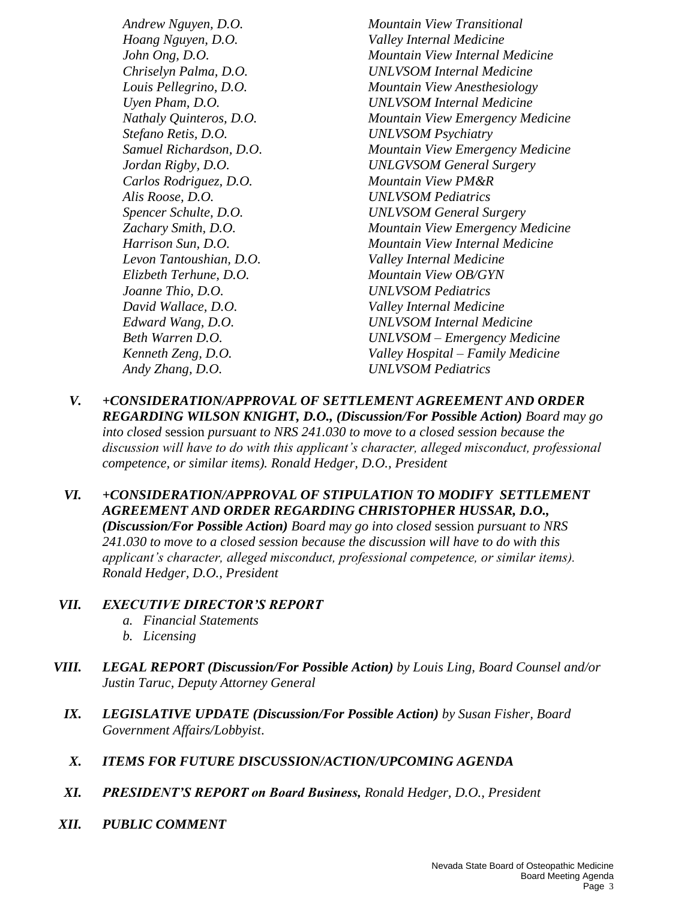*Hoang Nguyen, D.O. Valley Internal Medicine Stefano Retis, D.O. UNLVSOM Psychiatry Carlos Rodriguez, D.O. Mountain View PM&R Alis Roose, D.O. UNLVSOM Pediatrics Levon Tantoushian, D.O. Valley Internal Medicine Elizbeth Terhune, D.O. Mountain View OB/GYN Joanne Thio, D.O. UNLVSOM Pediatrics David Wallace, D.O. Valley Internal Medicine Andy Zhang, D.O. UNLVSOM Pediatrics*

*Andrew Nguyen, D.O. Mountain View Transitional John Ong, D.O. Mountain View Internal Medicine Chriselyn Palma, D.O. UNLVSOM Internal Medicine Louis Pellegrino, D.O. Mountain View Anesthesiology Uyen Pham, D.O. UNLVSOM Internal Medicine Nathaly Quinteros, D.O. Mountain View Emergency Medicine Samuel Richardson, D.O. Mountain View Emergency Medicine Jordan Rigby, D.O. UNLGVSOM General Surgery Spencer Schulte, D.O. UNLVSOM General Surgery Zachary Smith, D.O. Mountain View Emergency Medicine Harrison Sun, D.O. Mountain View Internal Medicine Edward Wang, D.O. UNLVSOM Internal Medicine Beth Warren D.O. UNLVSOM – Emergency Medicine Kenneth Zeng, D.O. Valley Hospital – Family Medicine*

- *V. +CONSIDERATION/APPROVAL OF SETTLEMENT AGREEMENT AND ORDER REGARDING WILSON KNIGHT, D.O., (Discussion/For Possible Action) Board may go into closed* session *pursuant to NRS 241.030 to move to a closed session because the discussion will have to do with this applicant's character, alleged misconduct, professional competence, or similar items). Ronald Hedger, D.O., President*
- *VI. +CONSIDERATION/APPROVAL OF STIPULATION TO MODIFY SETTLEMENT AGREEMENT AND ORDER REGARDING CHRISTOPHER HUSSAR, D.O., (Discussion/For Possible Action) Board may go into closed* session *pursuant to NRS 241.030 to move to a closed session because the discussion will have to do with this applicant's character, alleged misconduct, professional competence, or similar items). Ronald Hedger, D.O., President*

#### *VII. EXECUTIVE DIRECTOR'S REPORT*

- *a. Financial Statements*
- *b. Licensing*
- *VIII. LEGAL REPORT (Discussion/For Possible Action) by Louis Ling, Board Counsel and/or Justin Taruc, Deputy Attorney General* 
	- *IX. LEGISLATIVE UPDATE (Discussion/For Possible Action) by Susan Fisher, Board Government Affairs/Lobbyist*.
	- *X. ITEMS FOR FUTURE DISCUSSION/ACTION/UPCOMING AGENDA*
	- *XI. PRESIDENT'S REPORT on Board Business, Ronald Hedger, D.O., President*
- *XII. PUBLIC COMMENT*